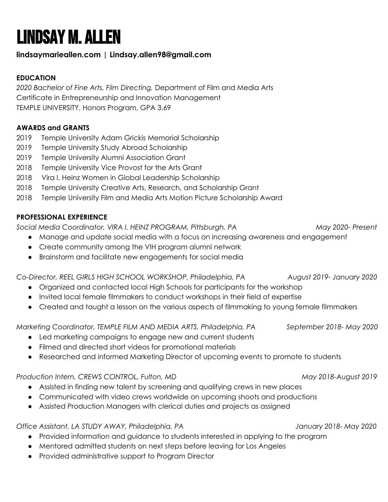# Lindsay M. Allen

## **lindsaymarieallen.com | Lindsay.allen98@gmail.com**

## **EDUCATION**

*2020 Bachelor of Fine Arts, Film Directing,* Department of Film and Media Arts Certificate in Entrepreneurship and Innovation Management TEMPLE UNIVERSITY, Honors Program, GPA 3.69

## **AWARDS and GRANTS**

- 2019 Temple University Adam Grickis Memorial Scholarship
- 2019 Temple University Study Abroad Scholarship
- 2019 Temple University Alumni Association Grant
- 2018 Temple University Vice Provost for the Arts Grant
- 2018 Vira I. Heinz Women in Global Leadership Scholarship
- 2018 Temple University Creative Arts, Research, and Scholarship Grant
- 2018 Temple University Film and Media Arts Motion Picture Scholarship Award

## **PROFESSIONAL EXPERIENCE**

*Social Media Coordinator, VIRA I. HEINZ PROGRAM, Pittsburgh, PA May 2020- Present*

- Manage and update social media with a focus on increasing awareness and engagement
- Create community among the VIH program alumni network
- Brainstorm and facilitate new engagements for social media

## *Co-Director, REEL GIRLS HIGH SCHOOL WORKSHOP, Philadelphia, PA August 2019- January 2020*

- Organized and contacted local High Schools for participants for the workshop
- Invited local female filmmakers to conduct workshops in their field of expertise
- Created and taught a lesson on the various aspects of filmmaking to young female filmmakers

*Marketing Coordinator, TEMPLE FILM AND MEDIA ARTS, Philadelphia, PA September 2018- May 2020*

- Led marketing campaigns to engage new and current students
- Filmed and directed short videos for promotional materials
- Researched and informed Marketing Director of upcoming events to promote to students

*Production Intern, CREWS CONTROL, Fulton, MD May 2018-August 2019*

- Assisted in finding new talent by screening and qualifying crews in new places
- Communicated with video crews worldwide on upcoming shoots and productions
- Assisted Production Managers with clerical duties and projects as assigned

*Office Assistant, LA STUDY AWAY, Philadelphia, PA January 2018- May 2020*

- Provided information and guidance to students interested in applying to the program
- Mentored admitted students on next steps before leaving for Los Angeles
- Provided administrative support to Program Director